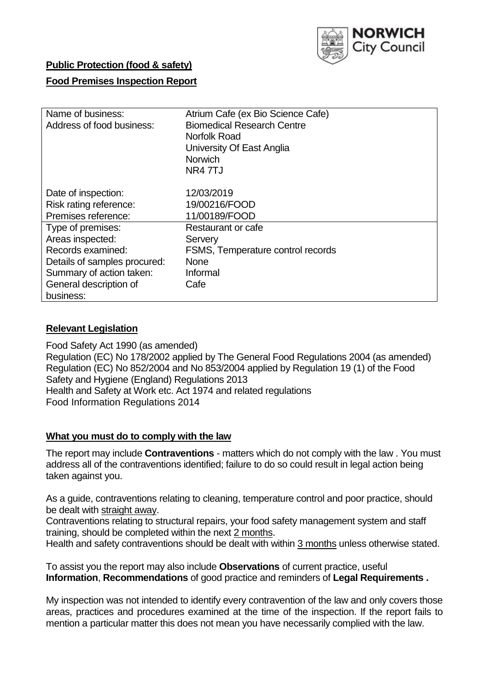

# **Public Protection (food & safety)**

# **Food Premises Inspection Report**

| Name of business:<br>Address of food business: | Atrium Cafe (ex Bio Science Cafe)<br><b>Biomedical Research Centre</b><br>Norfolk Road<br>University Of East Anglia<br><b>Norwich</b><br>NR4 7TJ |
|------------------------------------------------|--------------------------------------------------------------------------------------------------------------------------------------------------|
| Date of inspection:                            | 12/03/2019                                                                                                                                       |
| Risk rating reference:                         | 19/00216/FOOD                                                                                                                                    |
| Premises reference:                            | 11/00189/FOOD                                                                                                                                    |
| Type of premises:                              | Restaurant or cafe                                                                                                                               |
| Areas inspected:                               | Servery                                                                                                                                          |
| Records examined:                              | FSMS, Temperature control records                                                                                                                |
| Details of samples procured:                   | <b>None</b>                                                                                                                                      |
| Summary of action taken:                       | Informal                                                                                                                                         |
| General description of<br>business:            | Cafe                                                                                                                                             |

# **Relevant Legislation**

Food Safety Act 1990 (as amended) Regulation (EC) No 178/2002 applied by The General Food Regulations 2004 (as amended) Regulation (EC) No 852/2004 and No 853/2004 applied by Regulation 19 (1) of the Food Safety and Hygiene (England) Regulations 2013 Health and Safety at Work etc. Act 1974 and related regulations Food Information Regulations 2014

# **What you must do to comply with the law**

The report may include **Contraventions** - matters which do not comply with the law . You must address all of the contraventions identified; failure to do so could result in legal action being taken against you.

As a guide, contraventions relating to cleaning, temperature control and poor practice, should be dealt with straight away.

Contraventions relating to structural repairs, your food safety management system and staff training, should be completed within the next 2 months.

Health and safety contraventions should be dealt with within 3 months unless otherwise stated.

To assist you the report may also include **Observations** of current practice, useful **Information**, **Recommendations** of good practice and reminders of **Legal Requirements .**

My inspection was not intended to identify every contravention of the law and only covers those areas, practices and procedures examined at the time of the inspection. If the report fails to mention a particular matter this does not mean you have necessarily complied with the law.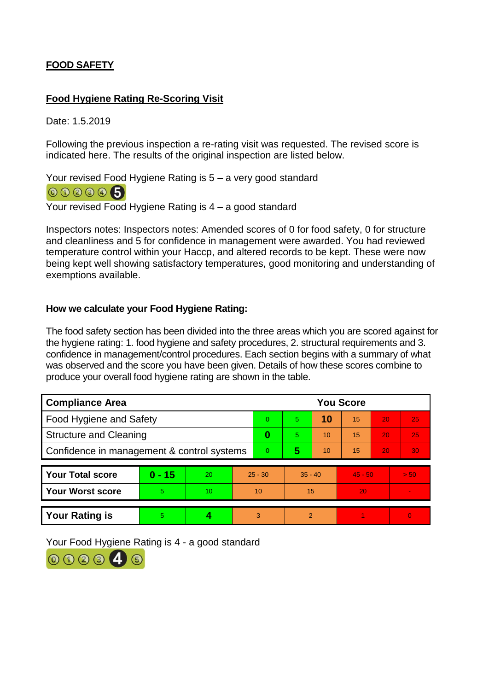# **FOOD SAFETY**

# **Food Hygiene Rating Re-Scoring Visit**

Date: 1.5.2019

Following the previous inspection a re-rating visit was requested. The revised score is indicated here. The results of the original inspection are listed below.

Your revised Food Hygiene Rating is 5 – a very good standard 000005

Your revised Food Hygiene Rating is 4 – a good standard

Inspectors notes: Inspectors notes: Amended scores of 0 for food safety, 0 for structure and cleanliness and 5 for confidence in management were awarded. You had reviewed temperature control within your Haccp, and altered records to be kept. These were now being kept well showing satisfactory temperatures, good monitoring and understanding of exemptions available.

# **How we calculate your Food Hygiene Rating:**

The food safety section has been divided into the three areas which you are scored against for the hygiene rating: 1. food hygiene and safety procedures, 2. structural requirements and 3. confidence in management/control procedures. Each section begins with a summary of what was observed and the score you have been given. Details of how these scores combine to produce your overall food hygiene rating are shown in the table.

| <b>Compliance Area</b>                     |          |    |           | <b>You Score</b> |                |    |           |    |                          |  |  |
|--------------------------------------------|----------|----|-----------|------------------|----------------|----|-----------|----|--------------------------|--|--|
| Food Hygiene and Safety                    |          |    |           | $\Omega$         | $\overline{5}$ | 10 | 15        | 20 | 25                       |  |  |
| <b>Structure and Cleaning</b>              |          |    | $\bf{0}$  | 5                | 10             | 15 | 20        | 25 |                          |  |  |
| Confidence in management & control systems |          |    | $\Omega$  | 5                | 10             | 15 | 20        | 30 |                          |  |  |
|                                            |          |    |           |                  |                |    |           |    |                          |  |  |
| <b>Your Total score</b>                    | $0 - 15$ | 20 | $25 - 30$ |                  | $35 - 40$      |    | $45 - 50$ |    | > 50                     |  |  |
| <b>Your Worst score</b>                    | 5.       | 10 | 10        |                  | 15             |    | 20        |    | $\overline{\phantom{a}}$ |  |  |
|                                            |          |    |           |                  |                |    |           |    |                          |  |  |
| <b>Your Rating is</b>                      | 5        |    | 3         |                  | $\mathcal{P}$  |    |           |    | 0                        |  |  |

Your Food Hygiene Rating is 4 - a good standard

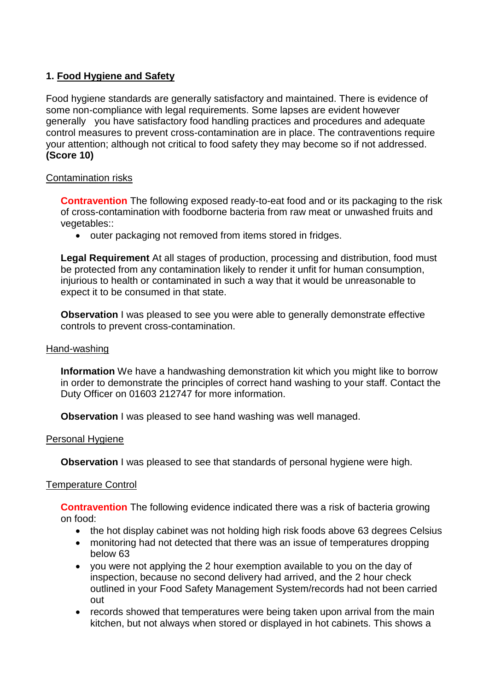# **1. Food Hygiene and Safety**

Food hygiene standards are generally satisfactory and maintained. There is evidence of some non-compliance with legal requirements. Some lapses are evident however generally you have satisfactory food handling practices and procedures and adequate control measures to prevent cross-contamination are in place. The contraventions require your attention; although not critical to food safety they may become so if not addressed. **(Score 10)**

### Contamination risks

**Contravention** The following exposed ready-to-eat food and or its packaging to the risk of cross-contamination with foodborne bacteria from raw meat or unwashed fruits and vegetables::

• outer packaging not removed from items stored in fridges.

**Legal Requirement** At all stages of production, processing and distribution, food must be protected from any contamination likely to render it unfit for human consumption, injurious to health or contaminated in such a way that it would be unreasonable to expect it to be consumed in that state.

**Observation** I was pleased to see you were able to generally demonstrate effective controls to prevent cross-contamination.

### Hand-washing

**Information** We have a handwashing demonstration kit which you might like to borrow in order to demonstrate the principles of correct hand washing to your staff. Contact the Duty Officer on 01603 212747 for more information.

**Observation** I was pleased to see hand washing was well managed.

#### Personal Hygiene

**Observation** I was pleased to see that standards of personal hygiene were high.

#### Temperature Control

**Contravention** The following evidence indicated there was a risk of bacteria growing on food:

- the hot display cabinet was not holding high risk foods above 63 degrees Celsius
- monitoring had not detected that there was an issue of temperatures dropping below 63
- you were not applying the 2 hour exemption available to you on the day of inspection, because no second delivery had arrived, and the 2 hour check outlined in your Food Safety Management System/records had not been carried out
- records showed that temperatures were being taken upon arrival from the main kitchen, but not always when stored or displayed in hot cabinets. This shows a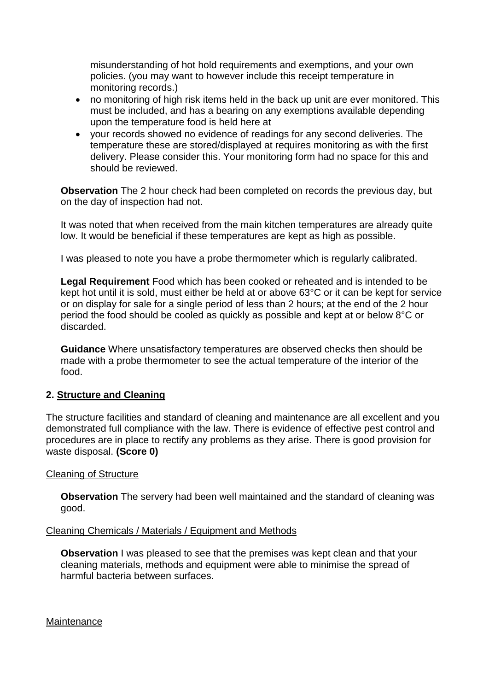misunderstanding of hot hold requirements and exemptions, and your own policies. (you may want to however include this receipt temperature in monitoring records.)

- no monitoring of high risk items held in the back up unit are ever monitored. This must be included, and has a bearing on any exemptions available depending upon the temperature food is held here at
- your records showed no evidence of readings for any second deliveries. The temperature these are stored/displayed at requires monitoring as with the first delivery. Please consider this. Your monitoring form had no space for this and should be reviewed.

**Observation** The 2 hour check had been completed on records the previous day, but on the day of inspection had not.

It was noted that when received from the main kitchen temperatures are already quite low. It would be beneficial if these temperatures are kept as high as possible.

I was pleased to note you have a probe thermometer which is regularly calibrated.

**Legal Requirement** Food which has been cooked or reheated and is intended to be kept hot until it is sold, must either be held at or above 63°C or it can be kept for service or on display for sale for a single period of less than 2 hours; at the end of the 2 hour period the food should be cooled as quickly as possible and kept at or below 8°C or discarded.

**Guidance** Where unsatisfactory temperatures are observed checks then should be made with a probe thermometer to see the actual temperature of the interior of the food.

# **2. Structure and Cleaning**

The structure facilities and standard of cleaning and maintenance are all excellent and you demonstrated full compliance with the law. There is evidence of effective pest control and procedures are in place to rectify any problems as they arise. There is good provision for waste disposal. **(Score 0)**

#### Cleaning of Structure

**Observation** The servery had been well maintained and the standard of cleaning was good.

#### Cleaning Chemicals / Materials / Equipment and Methods

**Observation** I was pleased to see that the premises was kept clean and that your cleaning materials, methods and equipment were able to minimise the spread of harmful bacteria between surfaces.

**Maintenance**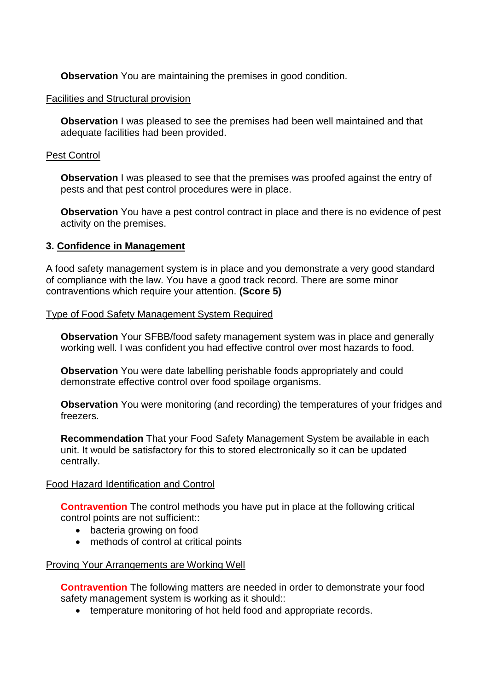**Observation** You are maintaining the premises in good condition.

### Facilities and Structural provision

**Observation I** was pleased to see the premises had been well maintained and that adequate facilities had been provided.

### Pest Control

**Observation** I was pleased to see that the premises was proofed against the entry of pests and that pest control procedures were in place.

**Observation** You have a pest control contract in place and there is no evidence of pest activity on the premises.

# **3. Confidence in Management**

A food safety management system is in place and you demonstrate a very good standard of compliance with the law. You have a good track record. There are some minor contraventions which require your attention. **(Score 5)**

### Type of Food Safety Management System Required

**Observation** Your SFBB/food safety management system was in place and generally working well. I was confident you had effective control over most hazards to food.

**Observation** You were date labelling perishable foods appropriately and could demonstrate effective control over food spoilage organisms.

**Observation** You were monitoring (and recording) the temperatures of your fridges and freezers.

**Recommendation** That your Food Safety Management System be available in each unit. It would be satisfactory for this to stored electronically so it can be updated centrally.

# Food Hazard Identification and Control

**Contravention** The control methods you have put in place at the following critical control points are not sufficient::

- bacteria growing on food
- methods of control at critical points

# Proving Your Arrangements are Working Well

**Contravention** The following matters are needed in order to demonstrate your food safety management system is working as it should::

• temperature monitoring of hot held food and appropriate records.